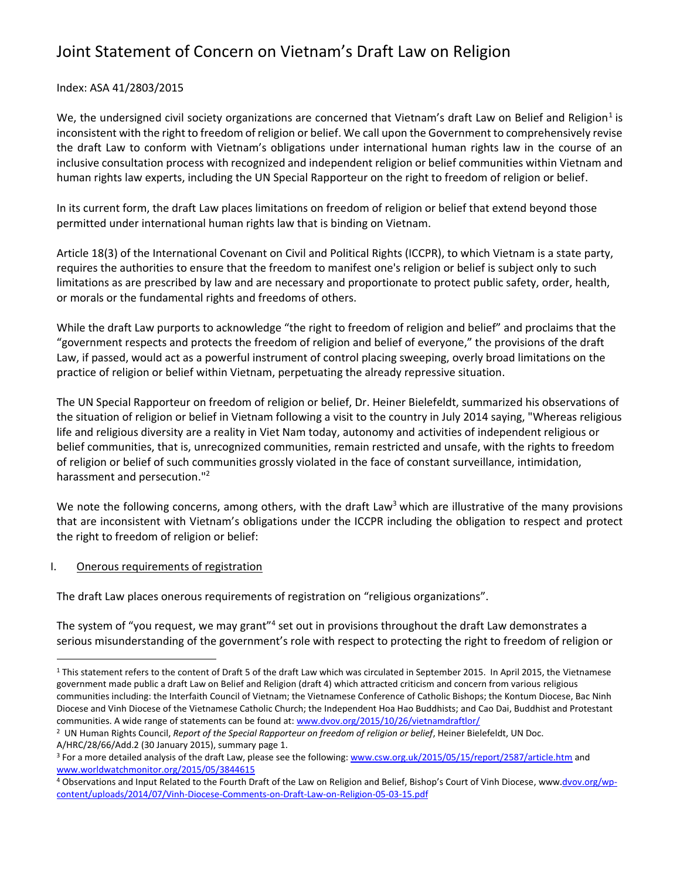#### Index: ASA 41/2803/2015

We, the undersigned civil society organizations are concerned that Vietnam's draft Law on Belief and Religion<sup>1</sup> is inconsistent with the right to freedom of religion or belief. We call upon the Government to comprehensively revise the draft Law to conform with Vietnam's obligations under international human rights law in the course of an inclusive consultation process with recognized and independent religion or belief communities within Vietnam and human rights law experts, including the UN Special Rapporteur on the right to freedom of religion or belief.

In its current form, the draft Law places limitations on freedom of religion or belief that extend beyond those permitted under international human rights law that is binding on Vietnam.

Article 18(3) of the International Covenant on Civil and Political Rights (ICCPR), to which Vietnam is a state party, requires the authorities to ensure that the freedom to manifest one's religion or belief is subject only to such limitations as are prescribed by law and are necessary and proportionate to protect public safety, order, health, or morals or the fundamental rights and freedoms of others.

While the draft Law purports to acknowledge "the right to freedom of religion and belief" and proclaims that the "government respects and protects the freedom of religion and belief of everyone," the provisions of the draft Law, if passed, would act as a powerful instrument of control placing sweeping, overly broad limitations on the practice of religion or belief within Vietnam, perpetuating the already repressive situation.

The UN Special Rapporteur on freedom of religion or belief, Dr. Heiner Bielefeldt, summarized his observations of the situation of religion or belief in Vietnam following a visit to the country in July 2014 saying, "Whereas religious life and religious diversity are a reality in Viet Nam today, autonomy and activities of independent religious or belief communities, that is, unrecognized communities, remain restricted and unsafe, with the rights to freedom of religion or belief of such communities grossly violated in the face of constant surveillance, intimidation, harassment and persecution."<sup>2</sup>

We note the following concerns, among others, with the draft Law<sup>3</sup> which are illustrative of the many provisions that are inconsistent with Vietnam's obligations under the ICCPR including the obligation to respect and protect the right to freedom of religion or belief:

#### I. Onerous requirements of registration

 $\overline{a}$ 

The draft Law places onerous requirements of registration on "religious organizations".

The system of "you request, we may grant"<sup>4</sup> set out in provisions throughout the draft Law demonstrates a serious misunderstanding of the government's role with respect to protecting the right to freedom of religion or

<sup>&</sup>lt;sup>1</sup> This statement refers to the content of Draft 5 of the draft Law which was circulated in September 2015. In April 2015, the Vietnamese government made public a draft Law on Belief and Religion (draft 4) which attracted criticism and concern from various religious communities including: the Interfaith Council of Vietnam; the Vietnamese Conference of Catholic Bishops; the Kontum Diocese, Bac Ninh Diocese and Vinh Diocese of the Vietnamese Catholic Church; the Independent Hoa Hao Buddhists; and Cao Dai, Buddhist and Protestant communities. A wide range of statements can be found at: [www.dvov.org/2015/10/26/vietnamdraftlor/](http://www.dvov.org/2015/10/26/vietnamdraftlor/)

<sup>2</sup> UN Human Rights Council, *Report of the Special Rapporteur on freedom of religion or belief*, Heiner Bielefeldt, UN Doc. A/HRC/28/66/Add.2 (30 January 2015), summary page 1.

<sup>&</sup>lt;sup>3</sup> For a more detailed analysis of the draft Law, please see the following: [www.csw.org.uk/2015/05/15/report/2587/article.htm](http://www.csw.org.uk/2015/05/15/report/2587/article.htm) and [www.worldwatchmonitor.org/2015/05/3844615](https://www.worldwatchmonitor.org/2015/05/3844615)

<sup>4</sup> Observations and Input Related to the Fourth Draft of the Law on Religion and Belief, Bishop's Court of Vinh Diocese, ww[w.dvov.org/wp](http://dvov.org/wp-content/uploads/2014/07/Vinh-Diocese-Comments-on-Draft-Law-on-Religion-05-03-15.pdf)[content/uploads/2014/07/Vinh-Diocese-Comments-on-Draft-Law-on-Religion-05-03-15.pdf](http://dvov.org/wp-content/uploads/2014/07/Vinh-Diocese-Comments-on-Draft-Law-on-Religion-05-03-15.pdf)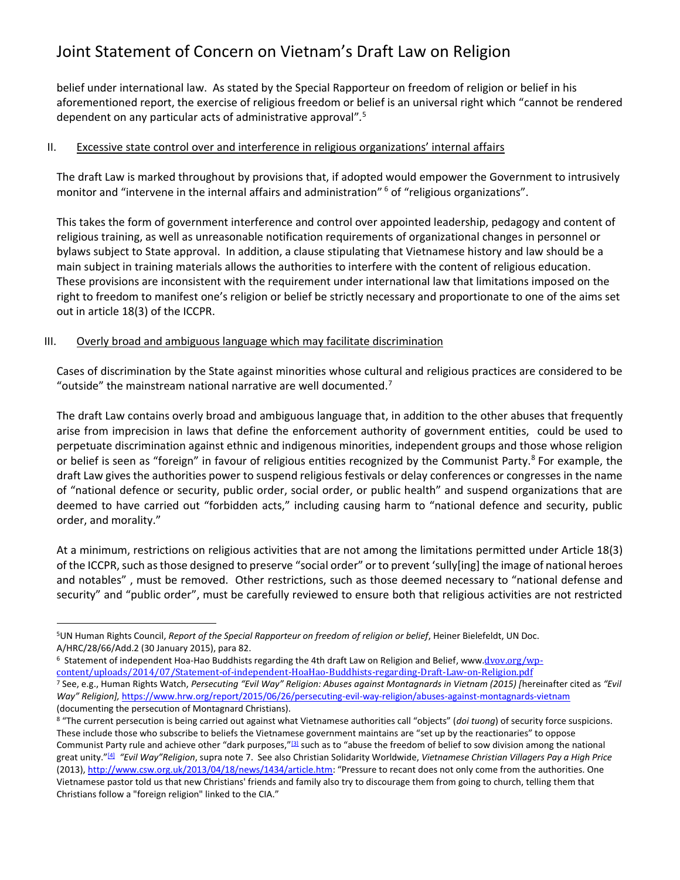belief under international law. As stated by the Special Rapporteur on freedom of religion or belief in his aforementioned report, the exercise of religious freedom or belief is an universal right which "cannot be rendered dependent on any particular acts of administrative approval"*.* 5

#### II. Excessive state control over and interference in religious organizations' internal affairs

The draft Law is marked throughout by provisions that, if adopted would empower the Government to intrusively monitor and "intervene in the internal affairs and administration" <sup>6</sup> of "religious organizations".

This takes the form of government interference and control over appointed leadership, pedagogy and content of religious training, as well as unreasonable notification requirements of organizational changes in personnel or bylaws subject to State approval. In addition, a clause stipulating that Vietnamese history and law should be a main subject in training materials allows the authorities to interfere with the content of religious education. These provisions are inconsistent with the requirement under international law that limitations imposed on the right to freedom to manifest one's religion or belief be strictly necessary and proportionate to one of the aims set out in article 18(3) of the ICCPR.

#### III. Overly broad and ambiguous language which may facilitate discrimination

 $\overline{a}$ 

Cases of discrimination by the State against minorities whose cultural and religious practices are considered to be "outside" the mainstream national narrative are well documented.<sup>7</sup>

The draft Law contains overly broad and ambiguous language that, in addition to the other abuses that frequently arise from imprecision in laws that define the enforcement authority of government entities, could be used to perpetuate discrimination against ethnic and indigenous minorities, independent groups and those whose religion or belief is seen as "foreign" in favour of religious entities recognized by the Communist Party.<sup>8</sup> For example, the draft Law gives the authorities power to suspend religious festivals or delay conferences or congresses in the name of "national defence or security, public order, social order, or public health" and suspend organizations that are deemed to have carried out "forbidden acts," including causing harm to "national defence and security, public order, and morality."

At a minimum, restrictions on religious activities that are not among the limitations permitted under Article 18(3) of the ICCPR, such as those designed to preserve "social order" or to prevent 'sully[ing] the image of national heroes and notables" , must be removed. Other restrictions, such as those deemed necessary to "national defense and security" and "public order", must be carefully reviewed to ensure both that religious activities are not restricted

<sup>5</sup>UN Human Rights Council, *Report of the Special Rapporteur on freedom of religion or belief*, Heiner Bielefeldt, UN Doc. A/HRC/28/66/Add.2 (30 January 2015), para 82.

<sup>&</sup>lt;sup>6</sup> Statement of independent Hoa-Hao Buddhists regarding the 4th draft Law on Religion and Belief, www.<u>dvov.org/wp-</u> [content/uploads/2014/07/Statement-of-independent-HoaHao-Buddhists-regarding-Draft-Law-on-Religion.pdf](http://dvov.org/wp-content/uploads/2014/07/Statement-of-independent-HoaHao-Buddhists-regarding-Draft-Law-on-Religion.pdf) <sup>7</sup> See, e.g., Human Rights Watch, *Persecuting "Evil Way" Religion: Abuses against Montagnards in Vietnam (2015) [*hereinafter cited as *"Evil* 

*Way" Religion],* <https://www.hrw.org/report/2015/06/26/persecuting-evil-way-religion/abuses-against-montagnards-vietnam> (documenting the persecution of Montagnard Christians).

<sup>&</sup>lt;sup>8</sup> "The current persecution is being carried out against what Vietnamese authorities call "objects" (doi tuong) of security force suspicions. These include those who subscribe to beliefs the Vietnamese government maintains are "set up by the reactionaries" to oppose Communist Party rule and achieve other "dark purposes,"<sup>[\[3\]](https://www.hrw.org/report/2015/06/26/persecuting-evil-way-religion/abuses-against-montagnards-vietnam#_ftn3)</sup> such as to "abuse the freedom of belief to sow division among the national great unity."[\[4\]](https://www.hrw.org/report/2015/06/26/persecuting-evil-way-religion/abuses-against-montagnards-vietnam#_ftn4) *"Evil Way"Religion*, supra note 7. See also Christian Solidarity Worldwide, *Vietnamese Christian Villagers Pay a High Price*  (2013)[, http://www.csw.org.uk/2013/04/18/news/1434/article.htm](http://www.csw.org.uk/2013/04/18/news/1434/article.htm): "Pressure to recant does not only come from the authorities. One Vietnamese pastor told us that new Christians' friends and family also try to discourage them from going to church, telling them that Christians follow a "foreign religion" linked to the CIA."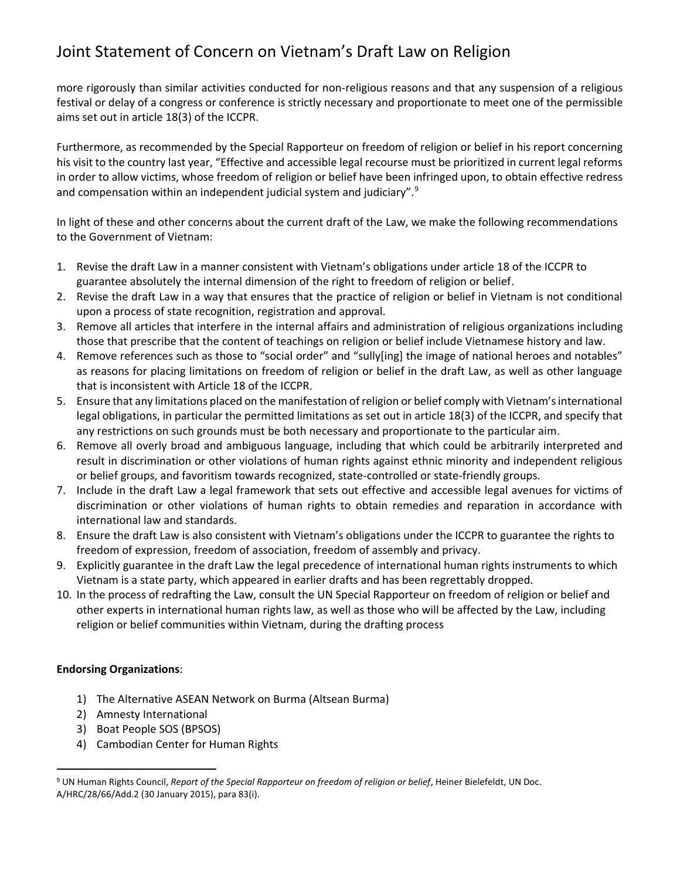more rigorously than similar activities conducted for non-religious reasons and that any suspension of a religious festival or delay of a congress or conference is strictly necessary and proportionate to meet one of the permissible aims set out in article 18(3) of the ICCPR.

Furthermore, as recommended by the Special Rapporteur on freedom of religion or belief in his report concerning his visit to the country last year, "Effective and accessible legal recourse must be prioritized in current legal reforms in order to allow victims, whose freedom of religion or belief have been infringed upon, to obtain effective redress and compensation within an independent judicial system and judiciary".<sup>9</sup>

In light of these and other concerns about the current draft of the Law, we make the following recommendations to the Government of Vietnam:

- 1. Revise the draft Law in a manner consistent with Vietnam's obligations under article 18 of the ICCPR to guarantee absolutely the internal dimension of the right to freedom of religion or belief.
- 2. Revise the draft Law in a way that ensures that the practice of religion or belief in Vietnam is not conditional upon a process of state recognition, registration and approval.
- 3. Remove all articles that interfere in the internal affairs and administration of religious organizations including those that prescribe that the content of teachings on religion or belief include Vietnamese history and law.
- 4. Remove references such as those to "social order" and "sully[ing] the image of national heroes and notables" as reasons for placing limitations on freedom of religion or belief in the draft Law, as well as other language that is inconsistent with Article 18 of the ICCPR.
- 5. Ensure that any limitations placed on the manifestation of religion or belief comply with Vietnam's international legal obligations, in particular the permitted limitations as set out in article 18(3) of the ICCPR, and specify that any restrictions on such grounds must be both necessary and proportionate to the particular aim.
- 6. Remove all overly broad and ambiguous language, including that which could be arbitrarily interpreted and result in discrimination or other violations of human rights against ethnic minority and independent religious or belief groups, and favoritism towards recognized, state-controlled or state-friendly groups.
- 7. Include in the draft Law a legal framework that sets out effective and accessible legal avenues for victims of discrimination or other violations of human rights to obtain remedies and reparation in accordance with international law and standards.
- 8. Ensure the draft Law is also consistent with Vietnam's obligations under the ICCPR to guarantee the rights to freedom of expression, freedom of association, freedom of assembly and privacy.
- 9. Explicitly guarantee in the draft Law the legal precedence of international human rights instruments to which Vietnam is a state party, which appeared in earlier drafts and has been regrettably dropped.
- 10. In the process of redrafting the Law, consult the UN Special Rapporteur on freedom of religion or belief and other experts in international human rights law, as well as those who will be affected by the Law, including religion or belief communities within Vietnam, during the drafting process

### **Endorsing Organizations**:

 $\overline{a}$ 

- 1) The Alternative ASEAN Network on Burma (Altsean Burma)
- 2) Amnesty International
- 3) Boat People SOS (BPSOS)
- 4) Cambodian Center for Human Rights

<sup>9</sup> UN Human Rights Council, *Report of the Special Rapporteur on freedom of religion or belief*, Heiner Bielefeldt, UN Doc. A/HRC/28/66/Add.2 (30 January 2015), para 83(i).